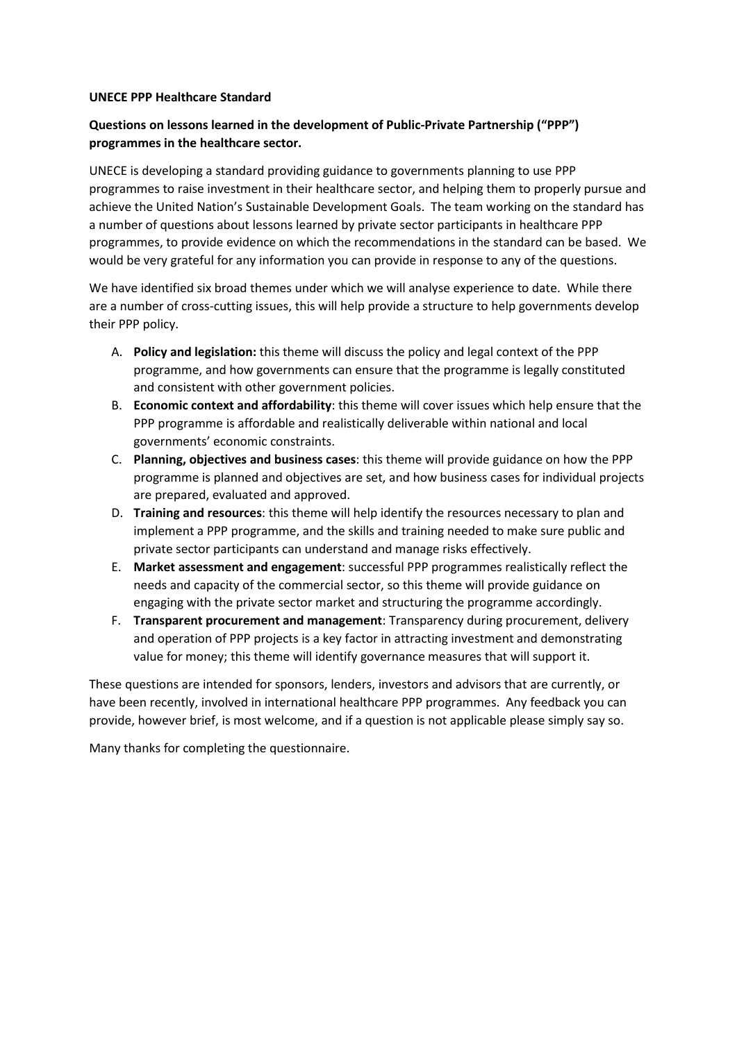#### **UNECE PPP Healthcare Standard**

# **Questions on lessons learned in the development of Public-Private Partnership ("PPP") programmes in the healthcare sector.**

UNECE is developing a standard providing guidance to governments planning to use PPP programmes to raise investment in their healthcare sector, and helping them to properly pursue and achieve the United Nation's Sustainable Development Goals. The team working on the standard has a number of questions about lessons learned by private sector participants in healthcare PPP programmes, to provide evidence on which the recommendations in the standard can be based. We would be very grateful for any information you can provide in response to any of the questions.

We have identified six broad themes under which we will analyse experience to date. While there are a number of cross-cutting issues, this will help provide a structure to help governments develop their PPP policy.

- A. **Policy and legislation:** this theme will discuss the policy and legal context of the PPP programme, and how governments can ensure that the programme is legally constituted and consistent with other government policies.
- B. **Economic context and affordability**: this theme will cover issues which help ensure that the PPP programme is affordable and realistically deliverable within national and local governments' economic constraints.
- C. **Planning, objectives and business cases**: this theme will provide guidance on how the PPP programme is planned and objectives are set, and how business cases for individual projects are prepared, evaluated and approved.
- D. **Training and resources**: this theme will help identify the resources necessary to plan and implement a PPP programme, and the skills and training needed to make sure public and private sector participants can understand and manage risks effectively.
- E. **Market assessment and engagement**: successful PPP programmes realistically reflect the needs and capacity of the commercial sector, so this theme will provide guidance on engaging with the private sector market and structuring the programme accordingly.
- F. **Transparent procurement and management**: Transparency during procurement, delivery and operation of PPP projects is a key factor in attracting investment and demonstrating value for money; this theme will identify governance measures that will support it.

These questions are intended for sponsors, lenders, investors and advisors that are currently, or have been recently, involved in international healthcare PPP programmes. Any feedback you can provide, however brief, is most welcome, and if a question is not applicable please simply say so.

Many thanks for completing the questionnaire.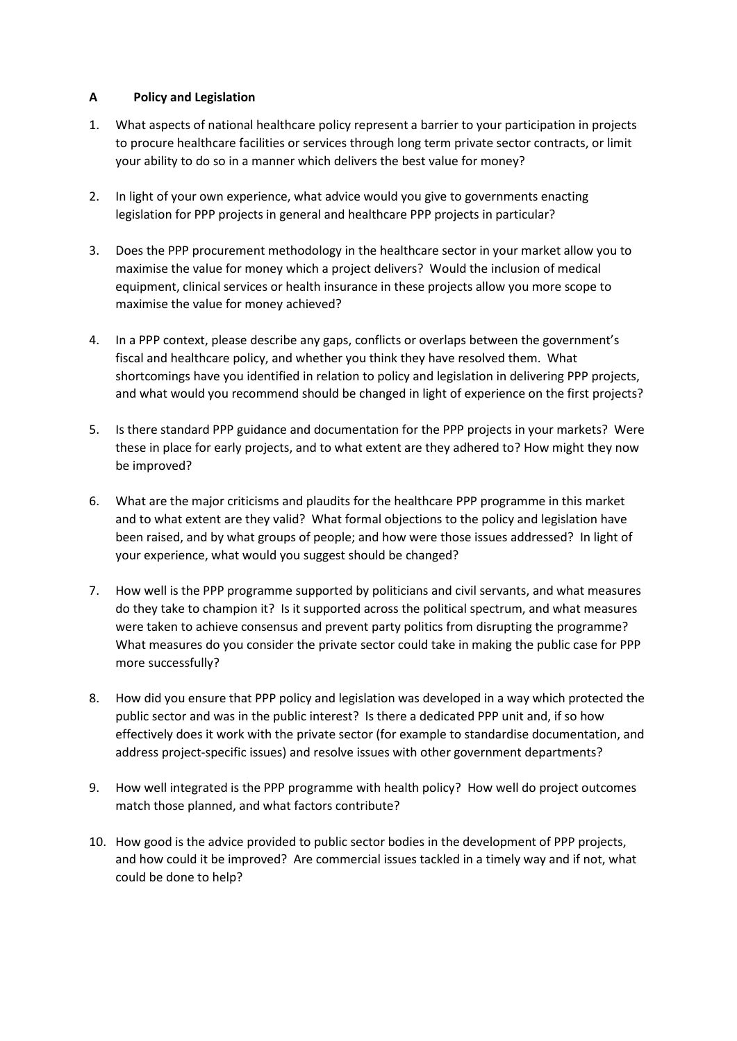# **A Policy and Legislation**

- 1. What aspects of national healthcare policy represent a barrier to your participation in projects to procure healthcare facilities or services through long term private sector contracts, or limit your ability to do so in a manner which delivers the best value for money?
- 2. In light of your own experience, what advice would you give to governments enacting legislation for PPP projects in general and healthcare PPP projects in particular?
- 3. Does the PPP procurement methodology in the healthcare sector in your market allow you to maximise the value for money which a project delivers? Would the inclusion of medical equipment, clinical services or health insurance in these projects allow you more scope to maximise the value for money achieved?
- 4. In a PPP context, please describe any gaps, conflicts or overlaps between the government's fiscal and healthcare policy, and whether you think they have resolved them. What shortcomings have you identified in relation to policy and legislation in delivering PPP projects, and what would you recommend should be changed in light of experience on the first projects?
- 5. Is there standard PPP guidance and documentation for the PPP projects in your markets? Were these in place for early projects, and to what extent are they adhered to? How might they now be improved?
- 6. What are the major criticisms and plaudits for the healthcare PPP programme in this market and to what extent are they valid? What formal objections to the policy and legislation have been raised, and by what groups of people; and how were those issues addressed? In light of your experience, what would you suggest should be changed?
- 7. How well is the PPP programme supported by politicians and civil servants, and what measures do they take to champion it? Is it supported across the political spectrum, and what measures were taken to achieve consensus and prevent party politics from disrupting the programme? What measures do you consider the private sector could take in making the public case for PPP more successfully?
- 8. How did you ensure that PPP policy and legislation was developed in a way which protected the public sector and was in the public interest? Is there a dedicated PPP unit and, if so how effectively does it work with the private sector (for example to standardise documentation, and address project-specific issues) and resolve issues with other government departments?
- 9. How well integrated is the PPP programme with health policy? How well do project outcomes match those planned, and what factors contribute?
- 10. How good is the advice provided to public sector bodies in the development of PPP projects, and how could it be improved? Are commercial issues tackled in a timely way and if not, what could be done to help?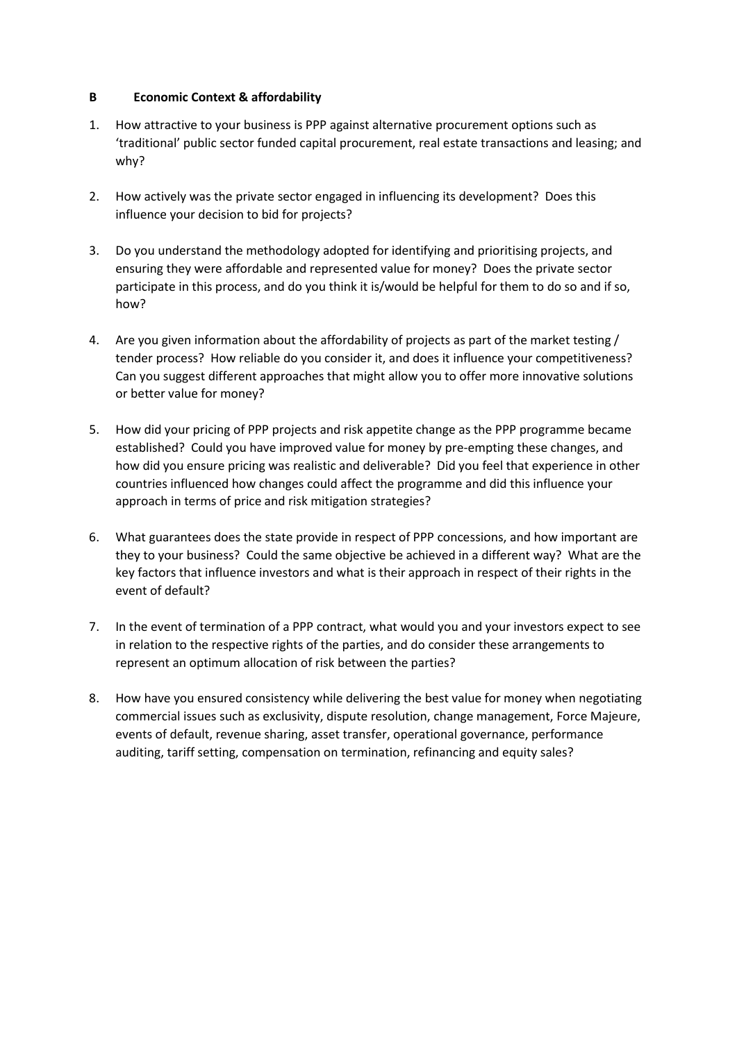# **B Economic Context & affordability**

- 1. How attractive to your business is PPP against alternative procurement options such as 'traditional' public sector funded capital procurement, real estate transactions and leasing; and why?
- 2. How actively was the private sector engaged in influencing its development? Does this influence your decision to bid for projects?
- 3. Do you understand the methodology adopted for identifying and prioritising projects, and ensuring they were affordable and represented value for money? Does the private sector participate in this process, and do you think it is/would be helpful for them to do so and if so, how?
- 4. Are you given information about the affordability of projects as part of the market testing / tender process? How reliable do you consider it, and does it influence your competitiveness? Can you suggest different approaches that might allow you to offer more innovative solutions or better value for money?
- 5. How did your pricing of PPP projects and risk appetite change as the PPP programme became established? Could you have improved value for money by pre-empting these changes, and how did you ensure pricing was realistic and deliverable? Did you feel that experience in other countries influenced how changes could affect the programme and did this influence your approach in terms of price and risk mitigation strategies?
- 6. What guarantees does the state provide in respect of PPP concessions, and how important are they to your business? Could the same objective be achieved in a different way? What are the key factors that influence investors and what is their approach in respect of their rights in the event of default?
- 7. In the event of termination of a PPP contract, what would you and your investors expect to see in relation to the respective rights of the parties, and do consider these arrangements to represent an optimum allocation of risk between the parties?
- 8. How have you ensured consistency while delivering the best value for money when negotiating commercial issues such as exclusivity, dispute resolution, change management, Force Majeure, events of default, revenue sharing, asset transfer, operational governance, performance auditing, tariff setting, compensation on termination, refinancing and equity sales?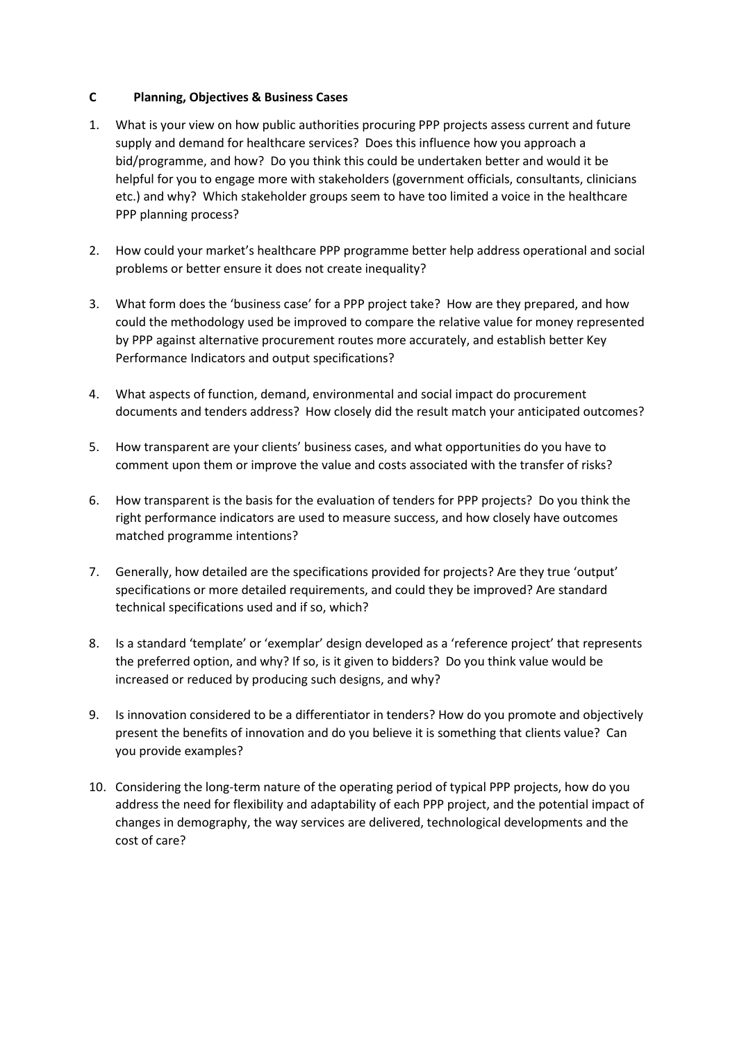# **C Planning, Objectives & Business Cases**

- 1. What is your view on how public authorities procuring PPP projects assess current and future supply and demand for healthcare services? Does this influence how you approach a bid/programme, and how? Do you think this could be undertaken better and would it be helpful for you to engage more with stakeholders (government officials, consultants, clinicians etc.) and why? Which stakeholder groups seem to have too limited a voice in the healthcare PPP planning process?
- 2. How could your market's healthcare PPP programme better help address operational and social problems or better ensure it does not create inequality?
- 3. What form does the 'business case' for a PPP project take? How are they prepared, and how could the methodology used be improved to compare the relative value for money represented by PPP against alternative procurement routes more accurately, and establish better Key Performance Indicators and output specifications?
- 4. What aspects of function, demand, environmental and social impact do procurement documents and tenders address? How closely did the result match your anticipated outcomes?
- 5. How transparent are your clients' business cases, and what opportunities do you have to comment upon them or improve the value and costs associated with the transfer of risks?
- 6. How transparent is the basis for the evaluation of tenders for PPP projects? Do you think the right performance indicators are used to measure success, and how closely have outcomes matched programme intentions?
- 7. Generally, how detailed are the specifications provided for projects? Are they true 'output' specifications or more detailed requirements, and could they be improved? Are standard technical specifications used and if so, which?
- 8. Is a standard 'template' or 'exemplar' design developed as a 'reference project' that represents the preferred option, and why? If so, is it given to bidders? Do you think value would be increased or reduced by producing such designs, and why?
- 9. Is innovation considered to be a differentiator in tenders? How do you promote and objectively present the benefits of innovation and do you believe it is something that clients value? Can you provide examples?
- 10. Considering the long-term nature of the operating period of typical PPP projects, how do you address the need for flexibility and adaptability of each PPP project, and the potential impact of changes in demography, the way services are delivered, technological developments and the cost of care?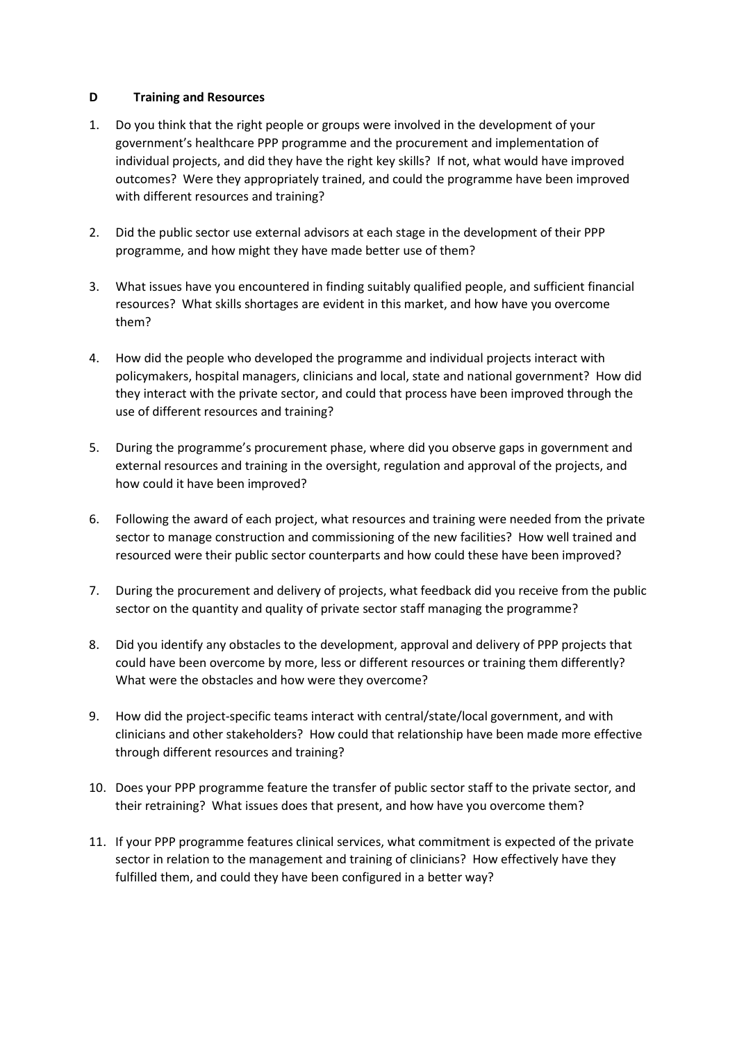# **D Training and Resources**

- 1. Do you think that the right people or groups were involved in the development of your government's healthcare PPP programme and the procurement and implementation of individual projects, and did they have the right key skills? If not, what would have improved outcomes? Were they appropriately trained, and could the programme have been improved with different resources and training?
- 2. Did the public sector use external advisors at each stage in the development of their PPP programme, and how might they have made better use of them?
- 3. What issues have you encountered in finding suitably qualified people, and sufficient financial resources? What skills shortages are evident in this market, and how have you overcome them?
- 4. How did the people who developed the programme and individual projects interact with policymakers, hospital managers, clinicians and local, state and national government? How did they interact with the private sector, and could that process have been improved through the use of different resources and training?
- 5. During the programme's procurement phase, where did you observe gaps in government and external resources and training in the oversight, regulation and approval of the projects, and how could it have been improved?
- 6. Following the award of each project, what resources and training were needed from the private sector to manage construction and commissioning of the new facilities? How well trained and resourced were their public sector counterparts and how could these have been improved?
- 7. During the procurement and delivery of projects, what feedback did you receive from the public sector on the quantity and quality of private sector staff managing the programme?
- 8. Did you identify any obstacles to the development, approval and delivery of PPP projects that could have been overcome by more, less or different resources or training them differently? What were the obstacles and how were they overcome?
- 9. How did the project-specific teams interact with central/state/local government, and with clinicians and other stakeholders? How could that relationship have been made more effective through different resources and training?
- 10. Does your PPP programme feature the transfer of public sector staff to the private sector, and their retraining? What issues does that present, and how have you overcome them?
- 11. If your PPP programme features clinical services, what commitment is expected of the private sector in relation to the management and training of clinicians? How effectively have they fulfilled them, and could they have been configured in a better way?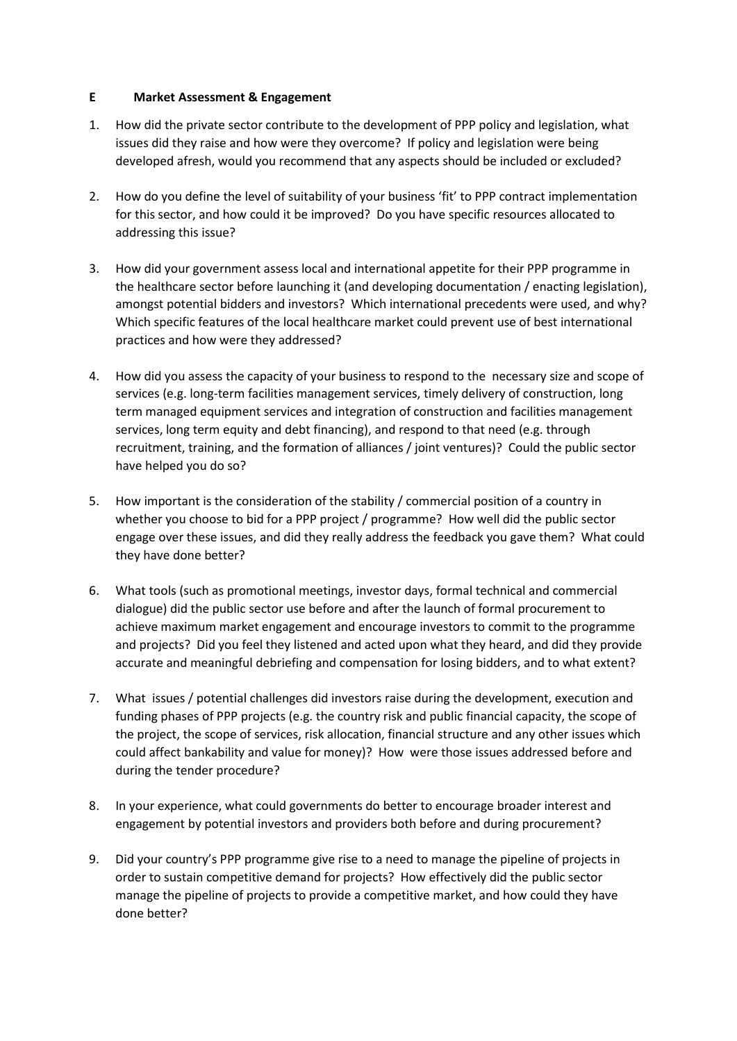# **E Market Assessment & Engagement**

- 1. How did the private sector contribute to the development of PPP policy and legislation, what issues did they raise and how were they overcome? If policy and legislation were being developed afresh, would you recommend that any aspects should be included or excluded?
- 2. How do you define the level of suitability of your business 'fit' to PPP contract implementation for this sector, and how could it be improved? Do you have specific resources allocated to addressing this issue?
- 3. How did your government assess local and international appetite for their PPP programme in the healthcare sector before launching it (and developing documentation / enacting legislation), amongst potential bidders and investors? Which international precedents were used, and why? Which specific features of the local healthcare market could prevent use of best international practices and how were they addressed?
- 4. How did you assess the capacity of your business to respond to the necessary size and scope of services (e.g. long-term facilities management services, timely delivery of construction, long term managed equipment services and integration of construction and facilities management services, long term equity and debt financing), and respond to that need (e.g. through recruitment, training, and the formation of alliances / joint ventures)? Could the public sector have helped you do so?
- 5. How important is the consideration of the stability / commercial position of a country in whether you choose to bid for a PPP project / programme? How well did the public sector engage over these issues, and did they really address the feedback you gave them? What could they have done better?
- 6. What tools (such as promotional meetings, investor days, formal technical and commercial dialogue) did the public sector use before and after the launch of formal procurement to achieve maximum market engagement and encourage investors to commit to the programme and projects? Did you feel they listened and acted upon what they heard, and did they provide accurate and meaningful debriefing and compensation for losing bidders, and to what extent?
- 7. What issues / potential challenges did investors raise during the development, execution and funding phases of PPP projects (e.g. the country risk and public financial capacity, the scope of the project, the scope of services, risk allocation, financial structure and any other issues which could affect bankability and value for money)? How were those issues addressed before and during the tender procedure?
- 8. In your experience, what could governments do better to encourage broader interest and engagement by potential investors and providers both before and during procurement?
- 9. Did your country's PPP programme give rise to a need to manage the pipeline of projects in order to sustain competitive demand for projects? How effectively did the public sector manage the pipeline of projects to provide a competitive market, and how could they have done better?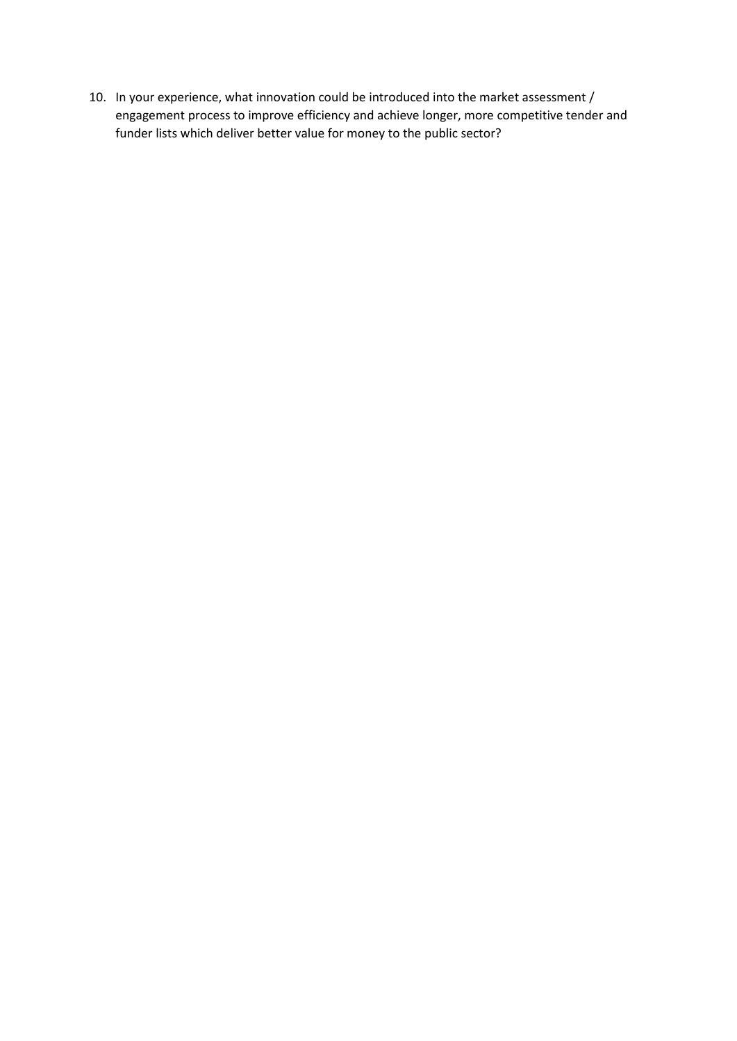10. In your experience, what innovation could be introduced into the market assessment / engagement process to improve efficiency and achieve longer, more competitive tender and funder lists which deliver better value for money to the public sector?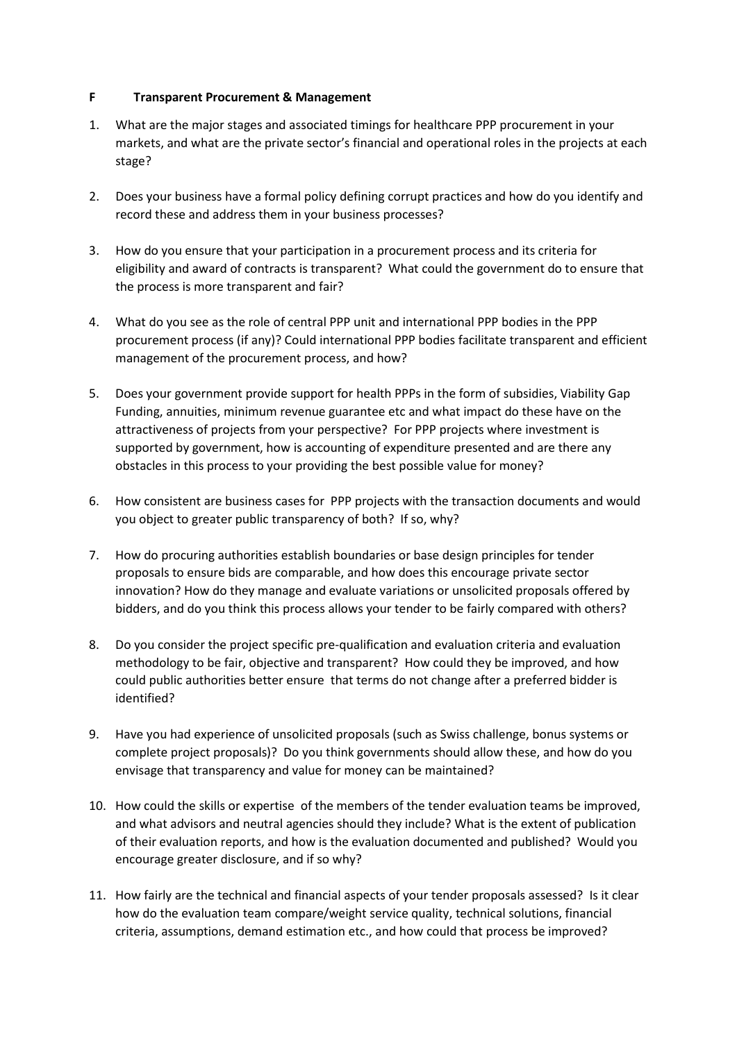# **F Transparent Procurement & Management**

- 1. What are the major stages and associated timings for healthcare PPP procurement in your markets, and what are the private sector's financial and operational roles in the projects at each stage?
- 2. Does your business have a formal policy defining corrupt practices and how do you identify and record these and address them in your business processes?
- 3. How do you ensure that your participation in a procurement process and its criteria for eligibility and award of contracts is transparent? What could the government do to ensure that the process is more transparent and fair?
- 4. What do you see as the role of central PPP unit and international PPP bodies in the PPP procurement process (if any)? Could international PPP bodies facilitate transparent and efficient management of the procurement process, and how?
- 5. Does your government provide support for health PPPs in the form of subsidies, Viability Gap Funding, annuities, minimum revenue guarantee etc and what impact do these have on the attractiveness of projects from your perspective? For PPP projects where investment is supported by government, how is accounting of expenditure presented and are there any obstacles in this process to your providing the best possible value for money?
- 6. How consistent are business cases for PPP projects with the transaction documents and would you object to greater public transparency of both? If so, why?
- 7. How do procuring authorities establish boundaries or base design principles for tender proposals to ensure bids are comparable, and how does this encourage private sector innovation? How do they manage and evaluate variations or unsolicited proposals offered by bidders, and do you think this process allows your tender to be fairly compared with others?
- 8. Do you consider the project specific pre-qualification and evaluation criteria and evaluation methodology to be fair, objective and transparent? How could they be improved, and how could public authorities better ensure that terms do not change after a preferred bidder is identified?
- 9. Have you had experience of unsolicited proposals (such as Swiss challenge, bonus systems or complete project proposals)? Do you think governments should allow these, and how do you envisage that transparency and value for money can be maintained?
- 10. How could the skills or expertise of the members of the tender evaluation teams be improved, and what advisors and neutral agencies should they include? What is the extent of publication of their evaluation reports, and how is the evaluation documented and published? Would you encourage greater disclosure, and if so why?
- 11. How fairly are the technical and financial aspects of your tender proposals assessed? Is it clear how do the evaluation team compare/weight service quality, technical solutions, financial criteria, assumptions, demand estimation etc., and how could that process be improved?